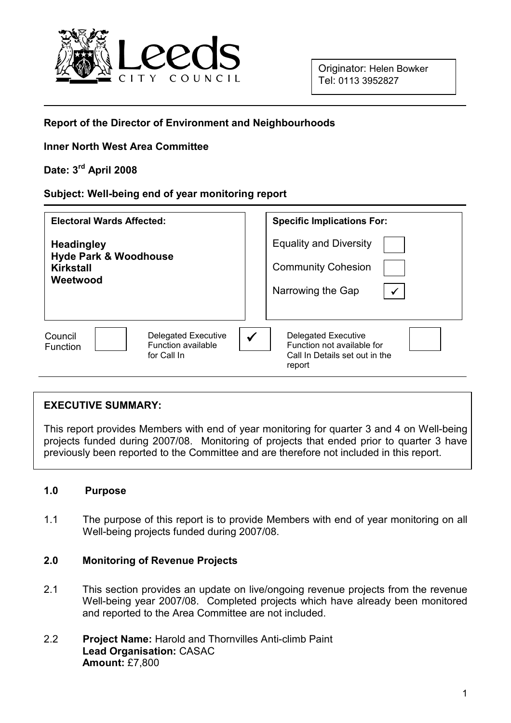

## Report of the Director of Environment and Neighbourhoods

## Inner North West Area Committee

# Date: 3rd April 2008

### Subject: Well-being end of year monitoring report

| <b>Electoral Wards Affected:</b>                                                              | <b>Specific Implications For:</b>                                                                  |
|-----------------------------------------------------------------------------------------------|----------------------------------------------------------------------------------------------------|
| <b>Headingley</b><br><b>Hyde Park &amp; Woodhouse</b><br>Kirkstall<br>Weetwood                | <b>Equality and Diversity</b>                                                                      |
|                                                                                               | <b>Community Cohesion</b>                                                                          |
|                                                                                               | Narrowing the Gap<br>$\checkmark$                                                                  |
|                                                                                               |                                                                                                    |
| Council<br><b>Delegated Executive</b><br>Function available<br><b>Function</b><br>for Call In | Delegated Executive<br>✓<br>Function not available for<br>Call In Details set out in the<br>report |

### EXECUTIVE SUMMARY:

This report provides Members with end of year monitoring for quarter 3 and 4 on Well-being projects funded during 2007/08. Monitoring of projects that ended prior to quarter 3 have previously been reported to the Committee and are therefore not included in this report.

### 1.0 Purpose

1.1 The purpose of this report is to provide Members with end of year monitoring on all Well-being projects funded during 2007/08.

## 2.0 Monitoring of Revenue Projects

- 2.1 This section provides an update on live/ongoing revenue projects from the revenue Well-being year 2007/08. Completed projects which have already been monitored and reported to the Area Committee are not included.
- 2.2 Project Name: Harold and Thornvilles Anti-climb Paint Lead Organisation: CASAC Amount: £7,800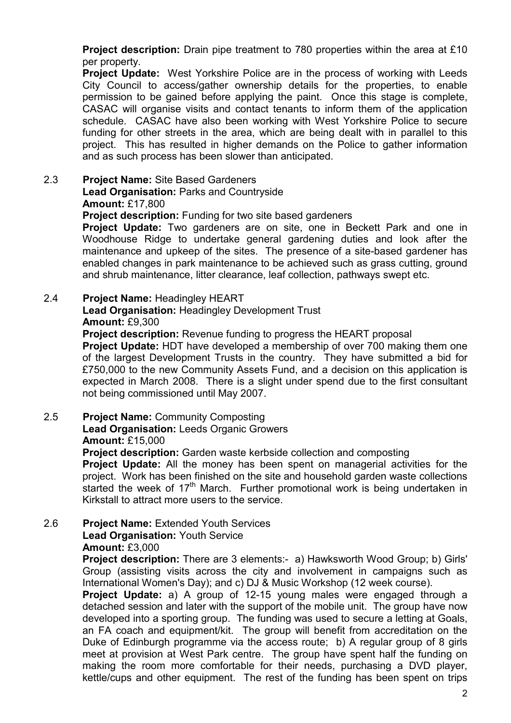Project description: Drain pipe treatment to 780 properties within the area at £10 per property.

**Project Update:** West Yorkshire Police are in the process of working with Leeds City Council to access/gather ownership details for the properties, to enable permission to be gained before applying the paint. Once this stage is complete, CASAC will organise visits and contact tenants to inform them of the application schedule. CASAC have also been working with West Yorkshire Police to secure funding for other streets in the area, which are being dealt with in parallel to this project. This has resulted in higher demands on the Police to gather information and as such process has been slower than anticipated.

#### 2.3 Project Name: Site Based Gardeners Lead Organisation: Parks and Countryside

Amount: £17,800

Project description: Funding for two site based gardeners

Project Update: Two gardeners are on site, one in Beckett Park and one in Woodhouse Ridge to undertake general gardening duties and look after the maintenance and upkeep of the sites. The presence of a site-based gardener has enabled changes in park maintenance to be achieved such as grass cutting, ground and shrub maintenance, litter clearance, leaf collection, pathways swept etc.

## 2.4 Project Name: Headingley HEART

### Lead Organisation: Headingley Development Trust Amount: £9,300

**Project description:** Revenue funding to progress the HEART proposal

Project Update: HDT have developed a membership of over 700 making them one of the largest Development Trusts in the country. They have submitted a bid for £750,000 to the new Community Assets Fund, and a decision on this application is expected in March 2008. There is a slight under spend due to the first consultant not being commissioned until May 2007.

### 2.5 Project Name: Community Composting Lead Organisation: Leeds Organic Growers Amount: £15,000

Project description: Garden waste kerbside collection and composting

**Project Update:** All the money has been spent on managerial activities for the project. Work has been finished on the site and household garden waste collections started the week of  $17<sup>th</sup>$  March. Further promotional work is being undertaken in Kirkstall to attract more users to the service.

### 2.6 Project Name: Extended Youth Services Lead Organisation: Youth Service Amount: £3,000

Project description: There are 3 elements:- a) Hawksworth Wood Group; b) Girls' Group (assisting visits across the city and involvement in campaigns such as International Women's Day); and c) DJ & Music Workshop (12 week course).

Project Update: a) A group of 12-15 young males were engaged through a detached session and later with the support of the mobile unit. The group have now developed into a sporting group. The funding was used to secure a letting at Goals, an FA coach and equipment/kit. The group will benefit from accreditation on the Duke of Edinburgh programme via the access route; b) A regular group of 8 girls meet at provision at West Park centre. The group have spent half the funding on making the room more comfortable for their needs, purchasing a DVD player, kettle/cups and other equipment. The rest of the funding has been spent on trips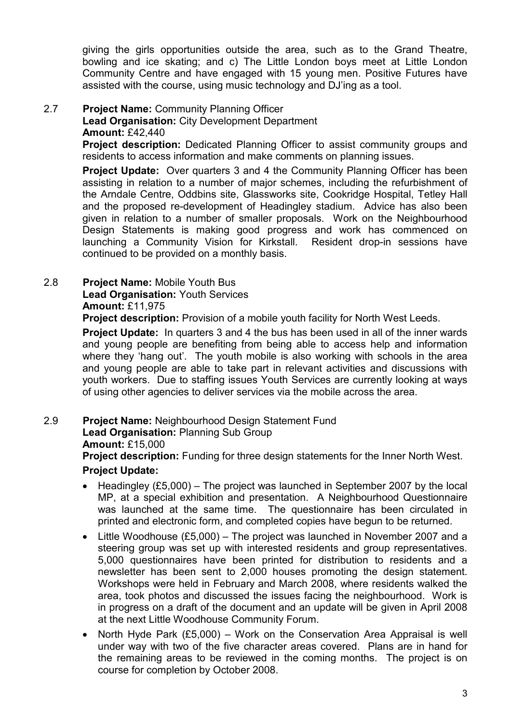giving the girls opportunities outside the area, such as to the Grand Theatre, bowling and ice skating; and c) The Little London boys meet at Little London Community Centre and have engaged with 15 young men. Positive Futures have assisted with the course, using music technology and DJ'ing as a tool.

## 2.7 Project Name: Community Planning Officer

Lead Organisation: City Development Department

Amount: £42,440

**Project description:** Dedicated Planning Officer to assist community groups and residents to access information and make comments on planning issues.

Project Update: Over quarters 3 and 4 the Community Planning Officer has been assisting in relation to a number of major schemes, including the refurbishment of the Arndale Centre, Oddbins site, Glassworks site, Cookridge Hospital, Tetley Hall and the proposed re-development of Headingley stadium. Advice has also been given in relation to a number of smaller proposals. Work on the Neighbourhood Design Statements is making good progress and work has commenced on launching a Community Vision for Kirkstall. Resident drop-in sessions have continued to be provided on a monthly basis.

# 2.8 Project Name: Mobile Youth Bus

Lead Organisation: Youth Services

## Amount: £11,975

**Project description:** Provision of a mobile youth facility for North West Leeds.

Project Update: In quarters 3 and 4 the bus has been used in all of the inner wards and young people are benefiting from being able to access help and information where they 'hang out'. The youth mobile is also working with schools in the area and young people are able to take part in relevant activities and discussions with youth workers. Due to staffing issues Youth Services are currently looking at ways of using other agencies to deliver services via the mobile across the area.

## 2.9 Project Name: Neighbourhood Design Statement Fund

Lead Organisation: Planning Sub Group

### Amount: £15,000

Project description: Funding for three design statements for the Inner North West.

## Project Update:

- Headingley (£5,000) The project was launched in September 2007 by the local MP, at a special exhibition and presentation. A Neighbourhood Questionnaire was launched at the same time. The questionnaire has been circulated in printed and electronic form, and completed copies have begun to be returned.
- Little Woodhouse (£5,000) The project was launched in November 2007 and a steering group was set up with interested residents and group representatives. 5,000 questionnaires have been printed for distribution to residents and a newsletter has been sent to 2,000 houses promoting the design statement. Workshops were held in February and March 2008, where residents walked the area, took photos and discussed the issues facing the neighbourhood. Work is in progress on a draft of the document and an update will be given in April 2008 at the next Little Woodhouse Community Forum.
- North Hyde Park (£5,000) Work on the Conservation Area Appraisal is well under way with two of the five character areas covered. Plans are in hand for the remaining areas to be reviewed in the coming months. The project is on course for completion by October 2008.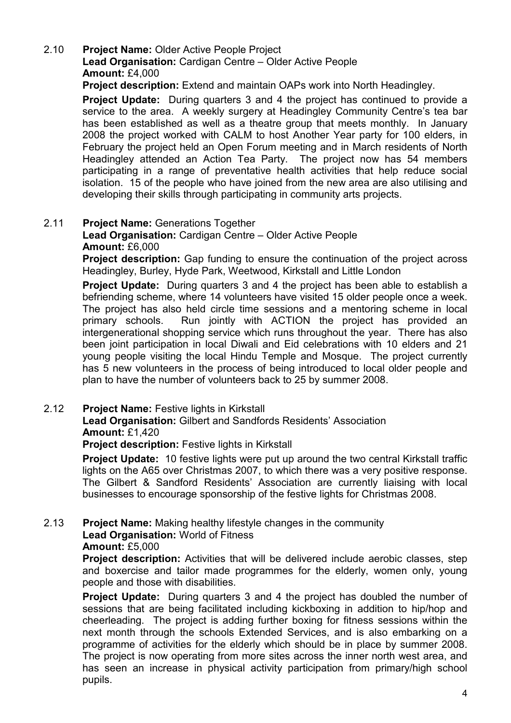# 2.10 Project Name: Older Active People Project

Lead Organisation: Cardigan Centre – Older Active People Amount: £4,000

Project description: Extend and maintain OAPs work into North Headingley.

**Project Update:** During quarters 3 and 4 the project has continued to provide a service to the area. A weekly surgery at Headingley Community Centre's tea bar has been established as well as a theatre group that meets monthly. In January 2008 the project worked with CALM to host Another Year party for 100 elders, in February the project held an Open Forum meeting and in March residents of North Headingley attended an Action Tea Party. The project now has 54 members participating in a range of preventative health activities that help reduce social isolation. 15 of the people who have joined from the new area are also utilising and developing their skills through participating in community arts projects.

## 2.11 Project Name: Generations Together

Lead Organisation: Cardigan Centre – Older Active People Amount: £6,000

**Project description:** Gap funding to ensure the continuation of the project across Headingley, Burley, Hyde Park, Weetwood, Kirkstall and Little London

**Project Update:** During quarters 3 and 4 the project has been able to establish a befriending scheme, where 14 volunteers have visited 15 older people once a week. The project has also held circle time sessions and a mentoring scheme in local primary schools. Run jointly with ACTION the project has provided an intergenerational shopping service which runs throughout the year. There has also been joint participation in local Diwali and Eid celebrations with 10 elders and 21 young people visiting the local Hindu Temple and Mosque. The project currently has 5 new volunteers in the process of being introduced to local older people and plan to have the number of volunteers back to 25 by summer 2008.

### 2.12 Project Name: Festive lights in Kirkstall

Lead Organisation: Gilbert and Sandfords Residents' Association Amount: £1,420

Project description: Festive lights in Kirkstall

**Project Update:** 10 festive lights were put up around the two central Kirkstall traffic lights on the A65 over Christmas 2007, to which there was a very positive response. The Gilbert & Sandford Residents' Association are currently liaising with local businesses to encourage sponsorship of the festive lights for Christmas 2008.

## 2.13 Project Name: Making healthy lifestyle changes in the community

Lead Organisation: World of Fitness

### Amount: £5,000

Project description: Activities that will be delivered include aerobic classes, step and boxercise and tailor made programmes for the elderly, women only, young people and those with disabilities.

Project Update: During quarters 3 and 4 the project has doubled the number of sessions that are being facilitated including kickboxing in addition to hip/hop and cheerleading. The project is adding further boxing for fitness sessions within the next month through the schools Extended Services, and is also embarking on a programme of activities for the elderly which should be in place by summer 2008. The project is now operating from more sites across the inner north west area, and has seen an increase in physical activity participation from primary/high school pupils.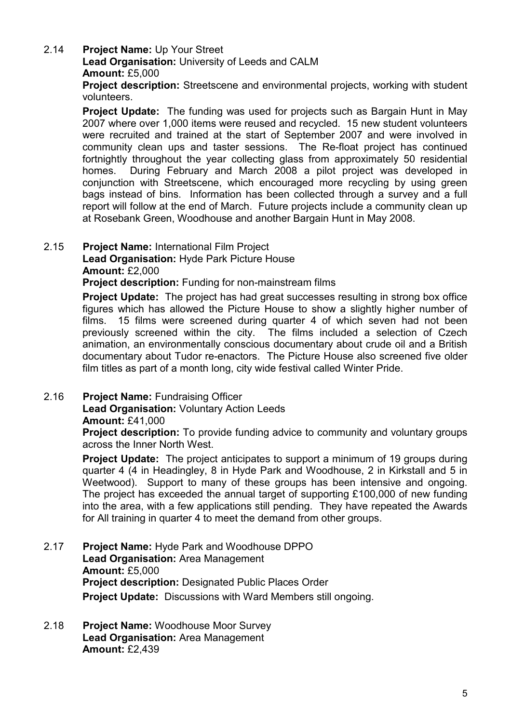## 2.14 Project Name: Up Your Street

Lead Organisation: University of Leeds and CALM Amount: £5,000

Project description: Streetscene and environmental projects, working with student volunteers.

Project Update: The funding was used for projects such as Bargain Hunt in May 2007 where over 1,000 items were reused and recycled. 15 new student volunteers were recruited and trained at the start of September 2007 and were involved in community clean ups and taster sessions. The Re-float project has continued fortnightly throughout the year collecting glass from approximately 50 residential homes. During February and March 2008 a pilot project was developed in conjunction with Streetscene, which encouraged more recycling by using green bags instead of bins. Information has been collected through a survey and a full report will follow at the end of March. Future projects include a community clean up at Rosebank Green, Woodhouse and another Bargain Hunt in May 2008.

# 2.15 Project Name: International Film Project

Lead Organisation: Hyde Park Picture House Amount: £2,000

Project description: Funding for non-mainstream films

**Project Update:** The project has had great successes resulting in strong box office figures which has allowed the Picture House to show a slightly higher number of films. 15 films were screened during quarter 4 of which seven had not been previously screened within the city. The films included a selection of Czech animation, an environmentally conscious documentary about crude oil and a British documentary about Tudor re-enactors. The Picture House also screened five older film titles as part of a month long, city wide festival called Winter Pride.

## 2.16 Project Name: Fundraising Officer

#### **Lead Organisation: Voluntary Action Leeds** Amount: £41,000

**Project description:** To provide funding advice to community and voluntary groups across the Inner North West.

**Project Update:** The project anticipates to support a minimum of 19 groups during quarter 4 (4 in Headingley, 8 in Hyde Park and Woodhouse, 2 in Kirkstall and 5 in Weetwood). Support to many of these groups has been intensive and ongoing. The project has exceeded the annual target of supporting £100,000 of new funding into the area, with a few applications still pending. They have repeated the Awards for All training in quarter 4 to meet the demand from other groups.

- 2.17 Project Name: Hyde Park and Woodhouse DPPO Lead Organisation: Area Management Amount: £5,000 Project description: Designated Public Places Order Project Update: Discussions with Ward Members still ongoing.
- 2.18 Project Name: Woodhouse Moor Survey Lead Organisation: Area Management Amount: £2,439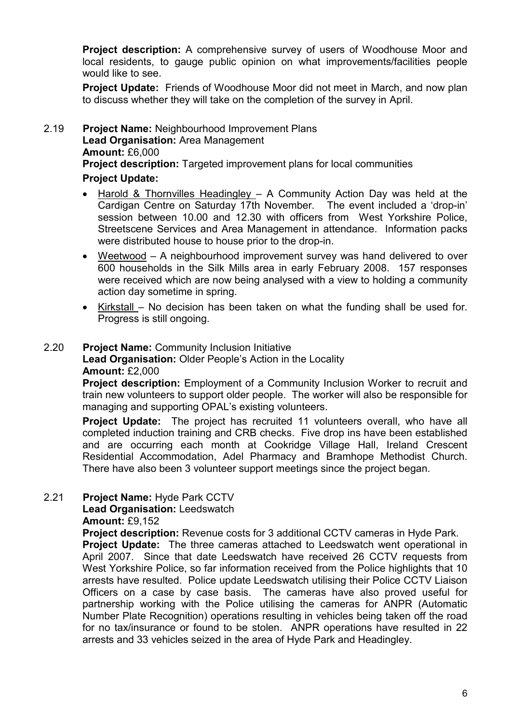Project description: A comprehensive survey of users of Woodhouse Moor and local residents, to gauge public opinion on what improvements/facilities people would like to see.

Project Update: Friends of Woodhouse Moor did not meet in March, and now plan to discuss whether they will take on the completion of the survey in April.

### 2.19 Project Name: Neighbourhood Improvement Plans Lead Organisation: Area Management Amount: £6,000 Project description: Targeted improvement plans for local communities Project Update:

- Harold & Thornvilles Headingley A Community Action Day was held at the Cardigan Centre on Saturday 17th November. The event included a 'drop-in' session between 10.00 and 12.30 with officers from West Yorkshire Police, Streetscene Services and Area Management in attendance. Information packs were distributed house to house prior to the drop-in.
- Weetwood A neighbourhood improvement survey was hand delivered to over 600 households in the Silk Mills area in early February 2008. 157 responses were received which are now being analysed with a view to holding a community action day sometime in spring.
- Kirkstall No decision has been taken on what the funding shall be used for. Progress is still ongoing.

## 2.20 Project Name: Community Inclusion Initiative Lead Organisation: Older People's Action in the Locality Amount: £2,000

Project description: Employment of a Community Inclusion Worker to recruit and train new volunteers to support older people. The worker will also be responsible for managing and supporting OPAL's existing volunteers.

**Project Update:** The project has recruited 11 volunteers overall, who have all completed induction training and CRB checks. Five drop ins have been established and are occurring each month at Cookridge Village Hall, Ireland Crescent Residential Accommodation, Adel Pharmacy and Bramhope Methodist Church. There have also been 3 volunteer support meetings since the project began.

## 2.21 Project Name: Hyde Park CCTV

## Lead Organisation: Leedswatch

Amount: £9,152

Project description: Revenue costs for 3 additional CCTV cameras in Hyde Park. **Project Update:** The three cameras attached to Leedswatch went operational in April 2007. Since that date Leedswatch have received 26 CCTV requests from West Yorkshire Police, so far information received from the Police highlights that 10 arrests have resulted. Police update Leedswatch utilising their Police CCTV Liaison Officers on a case by case basis. The cameras have also proved useful for partnership working with the Police utilising the cameras for ANPR (Automatic Number Plate Recognition) operations resulting in vehicles being taken off the road for no tax/insurance or found to be stolen. ANPR operations have resulted in 22 arrests and 33 vehicles seized in the area of Hyde Park and Headingley.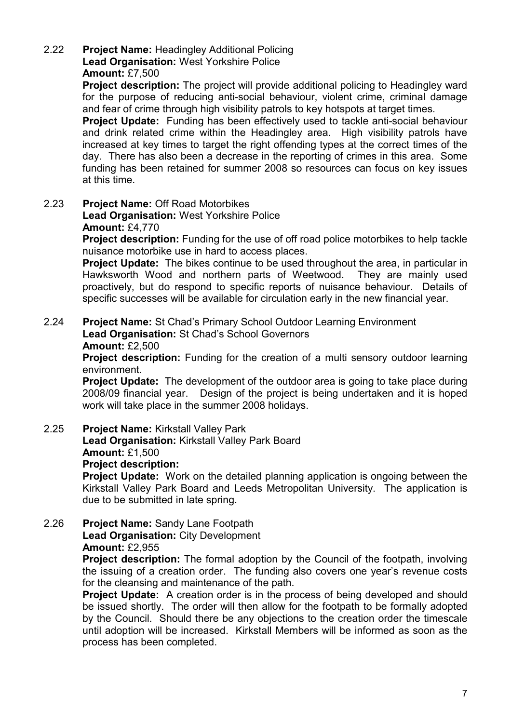### 2.22 Project Name: Headingley Additional Policing Lead Organisation: West Yorkshire Police Amount: £7,500

**Project description:** The project will provide additional policing to Headingley ward for the purpose of reducing anti-social behaviour, violent crime, criminal damage and fear of crime through high visibility patrols to key hotspots at target times.

**Project Update:** Funding has been effectively used to tackle anti-social behaviour and drink related crime within the Headingley area. High visibility patrols have increased at key times to target the right offending types at the correct times of the day. There has also been a decrease in the reporting of crimes in this area. Some funding has been retained for summer 2008 so resources can focus on key issues at this time.

2.23 Project Name: Off Road Motorbikes

Lead Organisation: West Yorkshire Police Amount: £4,770

Project description: Funding for the use of off road police motorbikes to help tackle nuisance motorbike use in hard to access places.

**Project Update:** The bikes continue to be used throughout the area, in particular in Hawksworth Wood and northern parts of Weetwood. They are mainly used proactively, but do respond to specific reports of nuisance behaviour. Details of specific successes will be available for circulation early in the new financial year.

2.24 Project Name: St Chad's Primary School Outdoor Learning Environment Lead Organisation: St Chad's School Governors

### Amount: £2,500

**Project description:** Funding for the creation of a multi sensory outdoor learning environment.

**Project Update:** The development of the outdoor area is going to take place during 2008/09 financial year. Design of the project is being undertaken and it is hoped work will take place in the summer 2008 holidays.

2.25 Project Name: Kirkstall Valley Park

Lead Organisation: Kirkstall Valley Park Board Amount: £1,500

Project description:

**Project Update:** Work on the detailed planning application is ongoing between the Kirkstall Valley Park Board and Leeds Metropolitan University. The application is due to be submitted in late spring.

2.26 Project Name: Sandy Lane Footpath Lead Organisation: City Development Amount: £2,955

> **Project description:** The formal adoption by the Council of the footpath, involving the issuing of a creation order. The funding also covers one year's revenue costs for the cleansing and maintenance of the path.

> **Project Update:** A creation order is in the process of being developed and should be issued shortly. The order will then allow for the footpath to be formally adopted by the Council. Should there be any objections to the creation order the timescale until adoption will be increased. Kirkstall Members will be informed as soon as the process has been completed.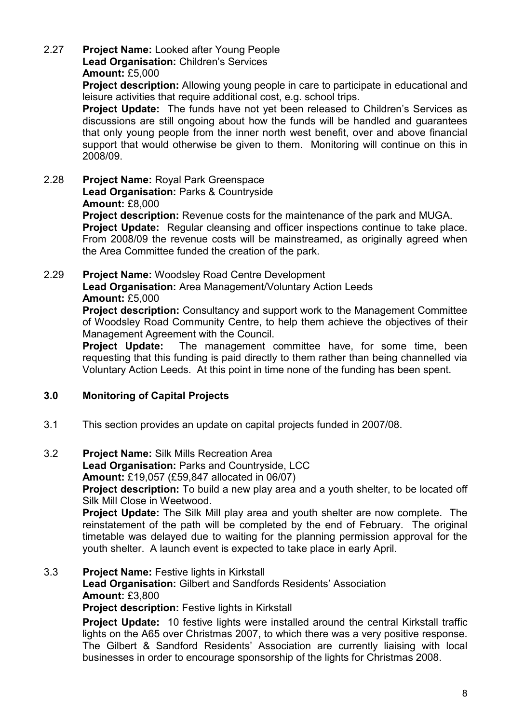# 2.27 Project Name: Looked after Young People

Lead Organisation: Children's Services

### Amount: £5,000

Project description: Allowing young people in care to participate in educational and leisure activities that require additional cost, e.g. school trips.

**Project Update:** The funds have not yet been released to Children's Services as discussions are still ongoing about how the funds will be handled and guarantees that only young people from the inner north west benefit, over and above financial support that would otherwise be given to them. Monitoring will continue on this in 2008/09.

2.28 Project Name: Royal Park Greenspace

Lead Organisation: Parks & Countryside Amount: £8,000

Project description: Revenue costs for the maintenance of the park and MUGA.

**Project Update:** Regular cleansing and officer inspections continue to take place. From 2008/09 the revenue costs will be mainstreamed, as originally agreed when the Area Committee funded the creation of the park.

#### 2.29 Project Name: Woodsley Road Centre Development Lead Organisation: Area Management/Voluntary Action Leeds

### Amount: £5,000

Project description: Consultancy and support work to the Management Committee of Woodsley Road Community Centre, to help them achieve the objectives of their Management Agreement with the Council.

**Project Update:** The management committee have, for some time, been requesting that this funding is paid directly to them rather than being channelled via Voluntary Action Leeds. At this point in time none of the funding has been spent.

## 3.0 Monitoring of Capital Projects

- 3.1 This section provides an update on capital projects funded in 2007/08.
- 3.2 Project Name: Silk Mills Recreation Area

Lead Organisation: Parks and Countryside, LCC

Amount: £19,057 (£59,847 allocated in 06/07)

Project description: To build a new play area and a youth shelter, to be located off Silk Mill Close in Weetwood.

**Project Update:** The Silk Mill play area and youth shelter are now complete. The reinstatement of the path will be completed by the end of February. The original timetable was delayed due to waiting for the planning permission approval for the youth shelter. A launch event is expected to take place in early April.

# 3.3 Project Name: Festive lights in Kirkstall Lead Organisation: Gilbert and Sandfords Residents' Association Amount: £3,800

**Project description: Festive lights in Kirkstall** 

**Project Update:** 10 festive lights were installed around the central Kirkstall traffic lights on the A65 over Christmas 2007, to which there was a very positive response. The Gilbert & Sandford Residents' Association are currently liaising with local businesses in order to encourage sponsorship of the lights for Christmas 2008.